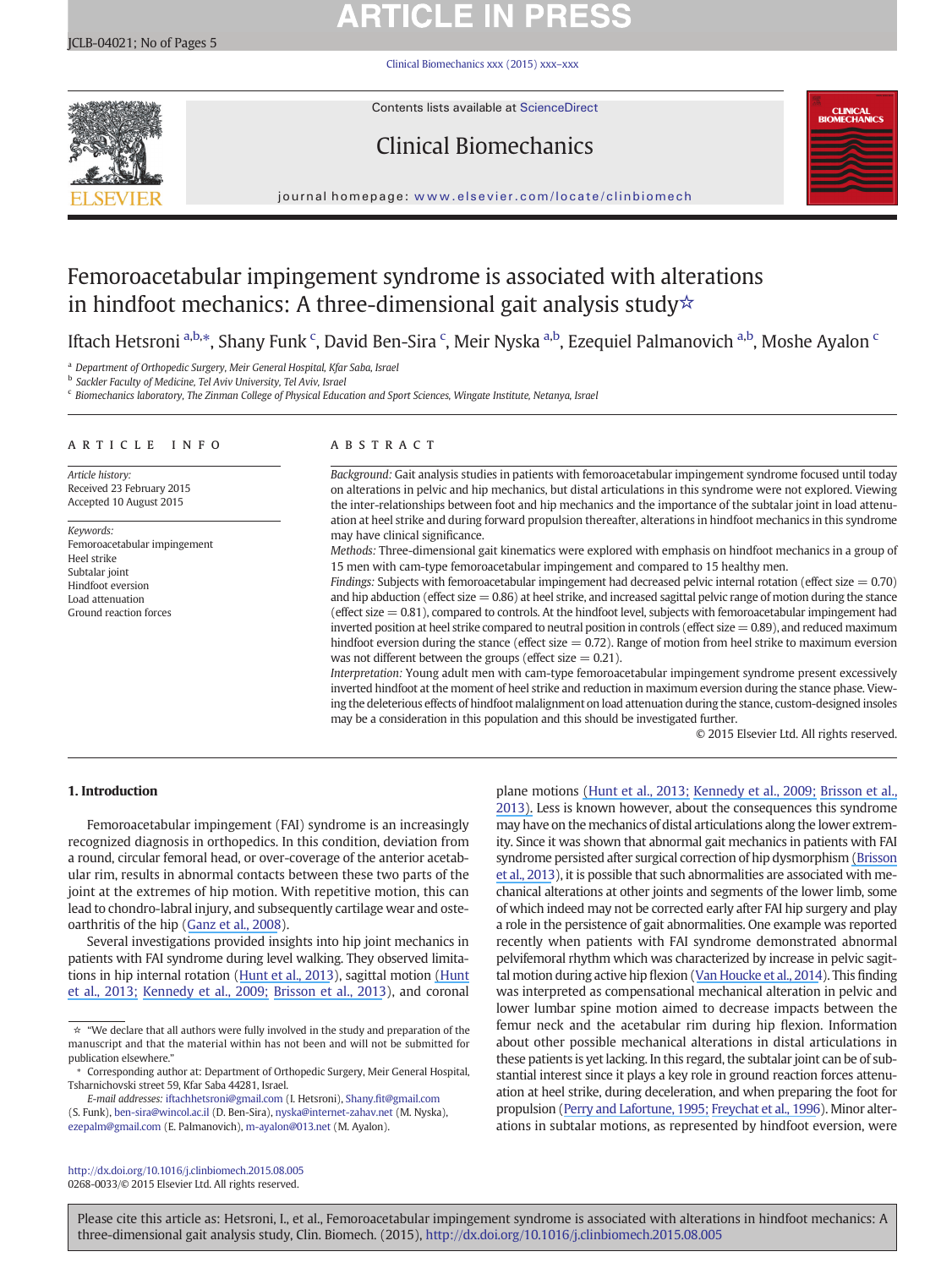# **ARTICLE IN PRESS**

[Clinical Biomechanics xxx \(2015\) xxx](http://dx.doi.org/10.1016/j.clinbiomech.2015.08.005)–xxx



Contents lists available at ScienceDirect

# Clinical Biomechanics



journal homepage: <www.elsevier.com/locate/clinbiomech>

# Femoroacetabular impingement syndrome is associated with alterations in hindfoot mechanics: A three-dimensional gait analysis study☆

Iftach Hetsroni <sup>a,b,</sup>\*, Shany Funk <sup>c</sup>, David Ben-Sira <sup>c</sup>, Meir Nyska <sup>a,b</sup>, Ezequiel Palmanovich <sup>a,b</sup>, Moshe Ayalon <sup>c</sup>

<sup>a</sup> Department of Orthopedic Surgery, Meir General Hospital, Kfar Saba, Israel

**b** Sackler Faculty of Medicine, Tel Aviv University, Tel Aviv, Israel

<sup>c</sup> Biomechanics laboratory, The Zinman College of Physical Education and Sport Sciences, Wingate Institute, Netanya, Israel

#### article info abstract

Article history: Received 23 February 2015 Accepted 10 August 2015

Keywords: Femoroacetabular impingement Heel strike Subtalar joint Hindfoot eversion Load attenuation Ground reaction forces

Background: Gait analysis studies in patients with femoroacetabular impingement syndrome focused until today on alterations in pelvic and hip mechanics, but distal articulations in this syndrome were not explored. Viewing the inter-relationships between foot and hip mechanics and the importance of the subtalar joint in load attenuation at heel strike and during forward propulsion thereafter, alterations in hindfoot mechanics in this syndrome may have clinical significance.

Methods: Three-dimensional gait kinematics were explored with emphasis on hindfoot mechanics in a group of 15 men with cam-type femoroacetabular impingement and compared to 15 healthy men.

Findings: Subjects with femoroacetabular impingement had decreased pelvic internal rotation (effect size  $= 0.70$ ) and hip abduction (effect size  $= 0.86$ ) at heel strike, and increased sagittal pelvic range of motion during the stance (effect size  $= 0.81$ ), compared to controls. At the hindfoot level, subjects with femoroacetabular impingement had inverted position at heel strike compared to neutral position in controls (effect size  $= 0.89$ ), and reduced maximum hindfoot eversion during the stance (effect size  $= 0.72$ ). Range of motion from heel strike to maximum eversion was not different between the groups (effect size  $= 0.21$ ).

Interpretation: Young adult men with cam-type femoroacetabular impingement syndrome present excessively inverted hindfoot at the moment of heel strike and reduction in maximum eversion during the stance phase. Viewing the deleterious effects of hindfoot malalignment on load attenuation during the stance, custom-designed insoles may be a consideration in this population and this should be investigated further.

© 2015 Elsevier Ltd. All rights reserved.

# 1. Introduction

Femoroacetabular impingement (FAI) syndrome is an increasingly recognized diagnosis in orthopedics. In this condition, deviation from a round, circular femoral head, or over-coverage of the anterior acetabular rim, results in abnormal contacts between these two parts of the joint at the extremes of hip motion. With repetitive motion, this can lead to chondro-labral injury, and subsequently cartilage wear and osteoarthritis of the hip [\(Ganz et al., 2008\)](#page-4-0).

Several investigations provided insights into hip joint mechanics in patients with FAI syndrome during level walking. They observed limitations in hip internal rotation ([H](#page-4-0)[unt](https://www.researchgate.net/publication/236956402_Kinematic_and_kinetic_differences_during_walking_in_patients_with_and_without_symptomatic_femoroacetabular_impingement?el=1_x_8&enrichId=rgreq-8aef6af881a80de9ebf7d3a7dcbb2807-XXX&enrichSource=Y292ZXJQYWdlOzI4MTU0MDE0NztBUzoyNzQwMjM0NDM1OTUyNjRAMTQ0MjM0MzY4ODYzMQ==)[et](https://www.researchgate.net/publication/236956402_Kinematic_and_kinetic_differences_during_walking_in_patients_with_and_without_symptomatic_femoroacetabular_impingement?el=1_x_8&enrichId=rgreq-8aef6af881a80de9ebf7d3a7dcbb2807-XXX&enrichSource=Y292ZXJQYWdlOzI4MTU0MDE0NztBUzoyNzQwMjM0NDM1OTUyNjRAMTQ0MjM0MzY4ODYzMQ==)[al.,](https://www.researchgate.net/publication/236956402_Kinematic_and_kinetic_differences_during_walking_in_patients_with_and_without_symptomatic_femoroacetabular_impingement?el=1_x_8&enrichId=rgreq-8aef6af881a80de9ebf7d3a7dcbb2807-XXX&enrichSource=Y292ZXJQYWdlOzI4MTU0MDE0NztBUzoyNzQwMjM0NDM1OTUyNjRAMTQ0MjM0MzY4ODYzMQ==)[201](https://www.researchgate.net/publication/236956402_Kinematic_and_kinetic_differences_during_walking_in_patients_with_and_without_symptomatic_femoroacetabular_impingement?el=1_x_8&enrichId=rgreq-8aef6af881a80de9ebf7d3a7dcbb2807-XXX&enrichSource=Y292ZXJQYWdlOzI4MTU0MDE0NztBUzoyNzQwMjM0NDM1OTUyNjRAMTQ0MjM0MzY4ODYzMQ==)[3\)](#page-4-0), sagittal motion [\(H](https://www.researchgate.net/publication/230781678_The_effects_of_cam_femoroacetabular_impingement_corrective_surgery_on_lower-extremity_gait_biomechanics?el=1_x_8&enrichId=rgreq-8aef6af881a80de9ebf7d3a7dcbb2807-XXX&enrichSource=Y292ZXJQYWdlOzI4MTU0MDE0NztBUzoyNzQwMjM0NDM1OTUyNjRAMTQ0MjM0MzY4ODYzMQ==)[unt](https://www.researchgate.net/publication/236956402_Kinematic_and_kinetic_differences_during_walking_in_patients_with_and_without_symptomatic_femoroacetabular_impingement?el=1_x_8&enrichId=rgreq-8aef6af881a80de9ebf7d3a7dcbb2807-XXX&enrichSource=Y292ZXJQYWdlOzI4MTU0MDE0NztBUzoyNzQwMjM0NDM1OTUyNjRAMTQ0MjM0MzY4ODYzMQ==) [et al., 2013; Kennedy et al., 2009; Brisson et al., 2013\)](#page-4-0), and coronal

E-mail addresses: [iftachhetsroni@gmail.com](mailto:iftachhetsroni@gmail.com) (I. Hetsroni), Shany.fi[t@gmail.com](mailto:Shany.fit@gmail.com) (S. Funk), [ben-sira@wincol.ac.il](mailto:ben-sira@wincol.ac.il) (D. Ben-Sira), [nyska@internet-zahav.net](mailto:nyska@internet-zahav.net) (M. Nyska), [ezepalm@gmail.com](mailto:ezepalm@gmail.com) (E. Palmanovich), [m-ayalon@013.net](mailto:m-ayalon@013.net) (M. Ayalon).

may have on the mechanics of distal articulations along the lower extremity. Since it was shown that abnormal gait mechanics in patients with FAI syndrome persisted after surgical correction of hip dysmorphism [\(](https://www.researchgate.net/publication/230781678_The_effects_of_cam_femoroacetabular_impingement_corrective_surgery_on_lower-extremity_gait_biomechanics?el=1_x_8&enrichId=rgreq-8aef6af881a80de9ebf7d3a7dcbb2807-XXX&enrichSource=Y292ZXJQYWdlOzI4MTU0MDE0NztBUzoyNzQwMjM0NDM1OTUyNjRAMTQ0MjM0MzY4ODYzMQ==)[Brisso](#page-4-0)[n](https://www.researchgate.net/publication/230781678_The_effects_of_cam_femoroacetabular_impingement_corrective_surgery_on_lower-extremity_gait_biomechanics?el=1_x_8&enrichId=rgreq-8aef6af881a80de9ebf7d3a7dcbb2807-XXX&enrichSource=Y292ZXJQYWdlOzI4MTU0MDE0NztBUzoyNzQwMjM0NDM1OTUyNjRAMTQ0MjM0MzY4ODYzMQ==) [et al., 2013](#page-4-0)), it is possible that such abnormalities are associated with mechanical alterations at other joints and segments of the lower limb, some of which indeed may not be corrected early after FAI hip surgery and play a role in the persistence of gait abnormalities. One example was reported recently when patients with FAI syndrome demonstrated abnormal pelvifemoral rhythm which was characterized by increase in pelvic sagittal motion during active hip flexion [\(V](#page-4-0)[an](https://www.researchgate.net/publication/258634309_The_pelvifemoral_rhythm_in_cam-type_femoroacetabular_impingement?el=1_x_8&enrichId=rgreq-8aef6af881a80de9ebf7d3a7dcbb2807-XXX&enrichSource=Y292ZXJQYWdlOzI4MTU0MDE0NztBUzoyNzQwMjM0NDM1OTUyNjRAMTQ0MjM0MzY4ODYzMQ==)[Houcke](https://www.researchgate.net/publication/258634309_The_pelvifemoral_rhythm_in_cam-type_femoroacetabular_impingement?el=1_x_8&enrichId=rgreq-8aef6af881a80de9ebf7d3a7dcbb2807-XXX&enrichSource=Y292ZXJQYWdlOzI4MTU0MDE0NztBUzoyNzQwMjM0NDM1OTUyNjRAMTQ0MjM0MzY4ODYzMQ==)[et](https://www.researchgate.net/publication/258634309_The_pelvifemoral_rhythm_in_cam-type_femoroacetabular_impingement?el=1_x_8&enrichId=rgreq-8aef6af881a80de9ebf7d3a7dcbb2807-XXX&enrichSource=Y292ZXJQYWdlOzI4MTU0MDE0NztBUzoyNzQwMjM0NDM1OTUyNjRAMTQ0MjM0MzY4ODYzMQ==)[al.,](https://www.researchgate.net/publication/258634309_The_pelvifemoral_rhythm_in_cam-type_femoroacetabular_impingement?el=1_x_8&enrichId=rgreq-8aef6af881a80de9ebf7d3a7dcbb2807-XXX&enrichSource=Y292ZXJQYWdlOzI4MTU0MDE0NztBUzoyNzQwMjM0NDM1OTUyNjRAMTQ0MjM0MzY4ODYzMQ==)[201](https://www.researchgate.net/publication/258634309_The_pelvifemoral_rhythm_in_cam-type_femoroacetabular_impingement?el=1_x_8&enrichId=rgreq-8aef6af881a80de9ebf7d3a7dcbb2807-XXX&enrichSource=Y292ZXJQYWdlOzI4MTU0MDE0NztBUzoyNzQwMjM0NDM1OTUyNjRAMTQ0MjM0MzY4ODYzMQ==)[4](#page-4-0)). This finding was interpreted as compensational mechanical alteration in pelvic and lower lumbar spine motion aimed to decrease impacts between the femur neck and the acetabular rim during hip flexion. Information about other possible mechanical alterations in distal articulations in these patients is yet lacking. In this regard, the subtalar joint can be of substantial interest since it plays a key role in ground reaction forces attenuation at heel strike, during deceleration, and when preparing the foot for propulsion ([Perry and Lafortune, 1995; Freychat et al., 1996](#page-4-0)). Minor alterations in subtalar motions, as represented by hindfoot eversion, were

plane motions [\(H](https://www.researchgate.net/publication/230781678_The_effects_of_cam_femoroacetabular_impingement_corrective_surgery_on_lower-extremity_gait_biomechanics?el=1_x_8&enrichId=rgreq-8aef6af881a80de9ebf7d3a7dcbb2807-XXX&enrichSource=Y292ZXJQYWdlOzI4MTU0MDE0NztBUzoyNzQwMjM0NDM1OTUyNjRAMTQ0MjM0MzY4ODYzMQ==)[unt](https://www.researchgate.net/publication/236956402_Kinematic_and_kinetic_differences_during_walking_in_patients_with_and_without_symptomatic_femoroacetabular_impingement?el=1_x_8&enrichId=rgreq-8aef6af881a80de9ebf7d3a7dcbb2807-XXX&enrichSource=Y292ZXJQYWdlOzI4MTU0MDE0NztBUzoyNzQwMjM0NDM1OTUyNjRAMTQ0MjM0MzY4ODYzMQ==)[et](https://www.researchgate.net/publication/233801325_Effects_of_Corrective_Surgery_for_Cam_Femoroacetabular_Impingement_on_Lower-Extremity_Gait_Biomechanics?el=1_x_8&enrichId=rgreq-8aef6af881a80de9ebf7d3a7dcbb2807-XXX&enrichSource=Y292ZXJQYWdlOzI4MTU0MDE0NztBUzoyNzQwMjM0NDM1OTUyNjRAMTQ0MjM0MzY4ODYzMQ==) [al.,](https://www.researchgate.net/publication/233801325_Effects_of_Corrective_Surgery_for_Cam_Femoroacetabular_Impingement_on_Lower-Extremity_Gait_Biomechanics?el=1_x_8&enrichId=rgreq-8aef6af881a80de9ebf7d3a7dcbb2807-XXX&enrichSource=Y292ZXJQYWdlOzI4MTU0MDE0NztBUzoyNzQwMjM0NDM1OTUyNjRAMTQ0MjM0MzY4ODYzMQ==) [2013;](https://www.researchgate.net/publication/236956402_Kinematic_and_kinetic_differences_during_walking_in_patients_with_and_without_symptomatic_femoroacetabular_impingement?el=1_x_8&enrichId=rgreq-8aef6af881a80de9ebf7d3a7dcbb2807-XXX&enrichSource=Y292ZXJQYWdlOzI4MTU0MDE0NztBUzoyNzQwMjM0NDM1OTUyNjRAMTQ0MjM0MzY4ODYzMQ==) [Kennedy](https://www.researchgate.net/publication/24220457_Femoracetabular_impingement_alters_hip_and_pelvic_biomechanics_during_gait_Walking_biomechanics_of_FAI?el=1_x_8&enrichId=rgreq-8aef6af881a80de9ebf7d3a7dcbb2807-XXX&enrichSource=Y292ZXJQYWdlOzI4MTU0MDE0NztBUzoyNzQwMjM0NDM1OTUyNjRAMTQ0MjM0MzY4ODYzMQ==) et al., [2009;](https://www.researchgate.net/publication/24220457_Femoracetabular_impingement_alters_hip_and_pelvic_biomechanics_during_gait_Walking_biomechanics_of_FAI?el=1_x_8&enrichId=rgreq-8aef6af881a80de9ebf7d3a7dcbb2807-XXX&enrichSource=Y292ZXJQYWdlOzI4MTU0MDE0NztBUzoyNzQwMjM0NDM1OTUyNjRAMTQ0MjM0MzY4ODYzMQ==) [Brisson](https://www.researchgate.net/publication/233801325_Effects_of_Corrective_Surgery_for_Cam_Femoroacetabular_Impingement_on_Lower-Extremity_Gait_Biomechanics?el=1_x_8&enrichId=rgreq-8aef6af881a80de9ebf7d3a7dcbb2807-XXX&enrichSource=Y292ZXJQYWdlOzI4MTU0MDE0NztBUzoyNzQwMjM0NDM1OTUyNjRAMTQ0MjM0MzY4ODYzMQ==) et al., [201](#page-4-0)[3\).](https://www.researchgate.net/publication/230781678_The_effects_of_cam_femoroacetabular_impingement_corrective_surgery_on_lower-extremity_gait_biomechanics?el=1_x_8&enrichId=rgreq-8aef6af881a80de9ebf7d3a7dcbb2807-XXX&enrichSource=Y292ZXJQYWdlOzI4MTU0MDE0NztBUzoyNzQwMjM0NDM1OTUyNjRAMTQ0MjM0MzY4ODYzMQ==) Less is known however, about the consequences this syndrome

<http://dx.doi.org/10.1016/j.clinbiomech.2015.08.005> 0268-0033/© 2015 Elsevier Ltd. All rights reserved.

<sup>☆</sup> "We declare that all authors were fully involved in the study and preparation of the manuscript and that the material within has not been and will not be submitted for publication elsewhere."

<sup>⁎</sup> Corresponding author at: Department of Orthopedic Surgery, Meir General Hospital, Tsharnichovski street 59, Kfar Saba 44281, Israel.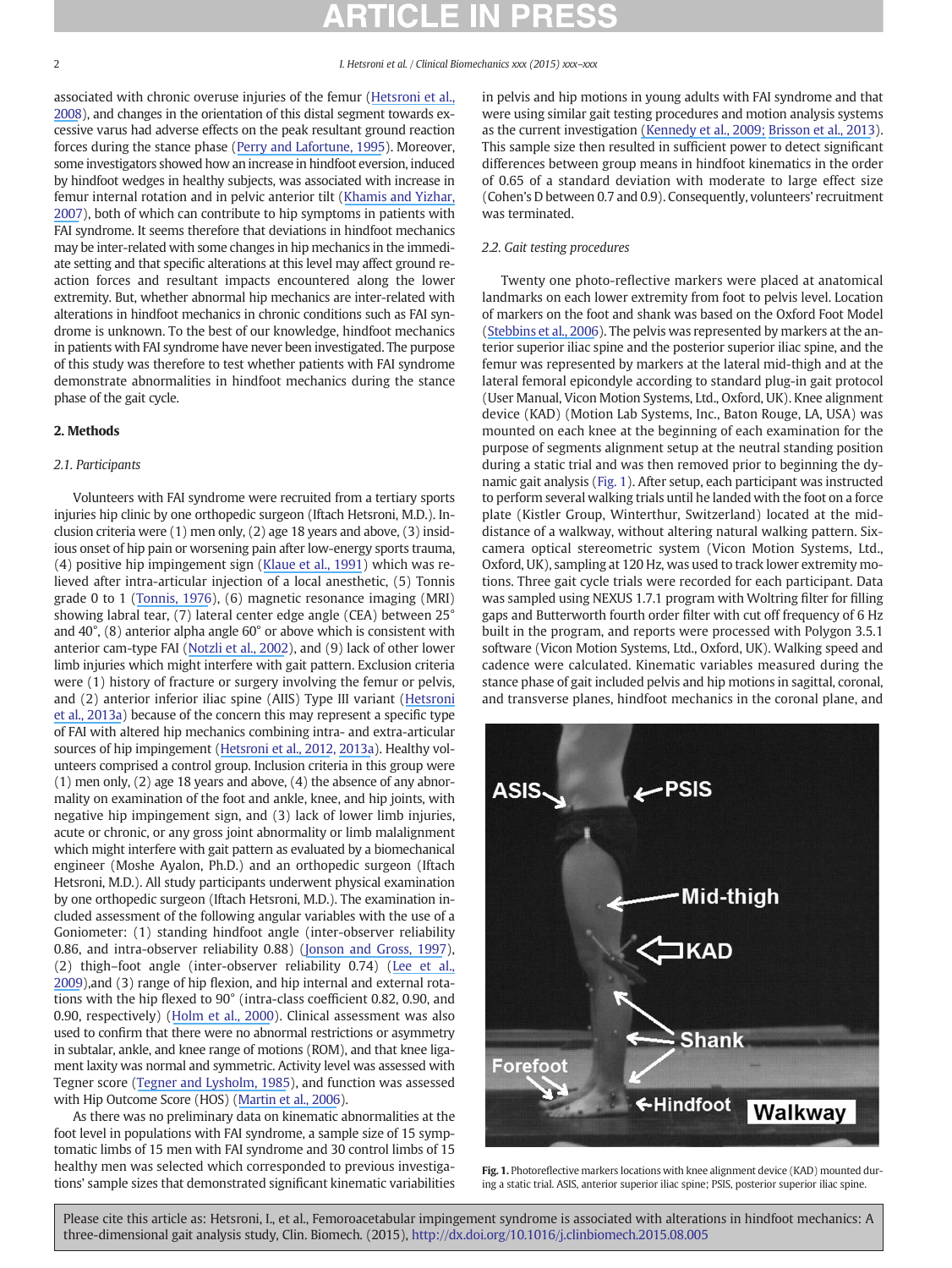associated with chronic overuse injuries of the femur [\(Hetsroni et al.,](#page-4-0) [2008](#page-4-0)), and changes in the orientation of this distal segment towards excessive varus had adverse effects on the peak resultant ground reaction forces during the stance phase [\(Perry and Lafortune, 1995\)](#page-4-0). Moreover, some investigators showed how an increase in hindfoot eversion, induced by hindfoot wedges in healthy subjects, was associated with increase in femur internal rotation and in pelvic anterior tilt [\(K](#page-4-0)[hamis](https://www.researchgate.net/publication/7157907_Effect_of_feet_hyperpronation_on_pelvic_alignment_in_a_standing_position?el=1_x_8&enrichId=rgreq-8aef6af881a80de9ebf7d3a7dcbb2807-XXX&enrichSource=Y292ZXJQYWdlOzI4MTU0MDE0NztBUzoyNzQwMjM0NDM1OTUyNjRAMTQ0MjM0MzY4ODYzMQ==)[and](https://www.researchgate.net/publication/7157907_Effect_of_feet_hyperpronation_on_pelvic_alignment_in_a_standing_position?el=1_x_8&enrichId=rgreq-8aef6af881a80de9ebf7d3a7dcbb2807-XXX&enrichSource=Y292ZXJQYWdlOzI4MTU0MDE0NztBUzoyNzQwMjM0NDM1OTUyNjRAMTQ0MjM0MzY4ODYzMQ==)[Yizhar,](https://www.researchgate.net/publication/7157907_Effect_of_feet_hyperpronation_on_pelvic_alignment_in_a_standing_position?el=1_x_8&enrichId=rgreq-8aef6af881a80de9ebf7d3a7dcbb2807-XXX&enrichSource=Y292ZXJQYWdlOzI4MTU0MDE0NztBUzoyNzQwMjM0NDM1OTUyNjRAMTQ0MjM0MzY4ODYzMQ==) [2007\)](#page-4-0), both of which can contribute to hip symptoms in patients with FAI syndrome. It seems therefore that deviations in hindfoot mechanics may be inter-related with some changes in hip mechanics in the immediate setting and that specific alterations at this level may affect ground reaction forces and resultant impacts encountered along the lower extremity. But, whether abnormal hip mechanics are inter-related with alterations in hindfoot mechanics in chronic conditions such as FAI syndrome is unknown. To the best of our knowledge, hindfoot mechanics in patients with FAI syndrome have never been investigated. The purpose of this study was therefore to test whether patients with FAI syndrome demonstrate abnormalities in hindfoot mechanics during the stance phase of the gait cycle.

## 2. Methods

# 2.1. Participants

Volunteers with FAI syndrome were recruited from a tertiary sports injuries hip clinic by one orthopedic surgeon (Iftach Hetsroni, M.D.). Inclusion criteria were (1) men only, (2) age 18 years and above, (3) insidious onset of hip pain or worsening pain after low-energy sports trauma, (4) positive hip impingement sign ([Klaue et al., 1991](#page-4-0)) which was relieved after intra-articular injection of a local anesthetic, (5) Tonnis grade 0 to 1 [\(Tonnis, 1976](#page-4-0)), (6) magnetic resonance imaging (MRI) showing labral tear, (7) lateral center edge angle (CEA) between 25° and 40°, (8) anterior alpha angle 60° or above which is consistent with anterior cam-type FAI ([Notzli et al., 2002](#page-4-0)), and (9) lack of other lower limb injuries which might interfere with gait pattern. Exclusion criteria were (1) history of fracture or surgery involving the femur or pelvis, and (2) anterior inferior iliac spine (AIIS) Type III variant ([Hetsroni](https://www.researchgate.net/publication/235629946_Anterior_Inferior_Iliac_Spine_Morphology_Correlates_with_Hip_Range_of_Motion_A_CT-based_Classification_System_and_Dynamic_Hip_Model?el=1_x_8&enrichId=rgreq-8aef6af881a80de9ebf7d3a7dcbb2807-XXX&enrichSource=Y292ZXJQYWdlOzI4MTU0MDE0NztBUzoyNzQwMjM0NDM1OTUyNjRAMTQ0MjM0MzY4ODYzMQ==) [et al., 2013a](#page-4-0)) because of the concern this may represent a specific type of FAI with altered hip mechanics combining intra- and extra-articular sources of hip impingement [\(Hetsroni et al., 2012, 2013a](#page-4-0)). Healthy volunteers comprised a control group. Inclusion criteria in this group were (1) men only, (2) age 18 years and above, (4) the absence of any abnormality on examination of the foot and ankle, knee, and hip joints, with negative hip impingement sign, and (3) lack of lower limb injuries, acute or chronic, or any gross joint abnormality or limb malalignment which might interfere with gait pattern as evaluated by a biomechanical engineer (Moshe Ayalon, Ph.D.) and an orthopedic surgeon (Iftach Hetsroni, M.D.). All study participants underwent physical examination by one orthopedic surgeon (Iftach Hetsroni, M.D.). The examination included assessment of the following angular variables with the use of a Goniometer: (1) standing hindfoot angle (inter-observer reliability 0.86, and intra-observer reliability 0.88) ([Jonson and Gross, 1997](#page-4-0)), (2) thigh–foot angle (inter-observer reliability 0.74) ([Lee et al.,](#page-4-0) [2009\)](#page-4-0),and (3) range of hip flexion, and hip internal and external rotations with the hip flexed to 90° (intra-class coefficient 0.82, 0.90, and 0.90, respectively) ([Holm et al., 2000](#page-4-0)). Clinical assessment was also used to confirm that there were no abnormal restrictions or asymmetry in subtalar, ankle, and knee range of motions (ROM), and that knee ligament laxity was normal and symmetric. Activity level was assessed with Tegner score ([Tegner and Lysholm, 1985](#page-4-0)), and function was assessed with Hip Outcome Score (HOS) [\(M](#page-4-0)[artin](https://www.researchgate.net/publication/6641414_Evidence_of_Validity_for_the_Hip_Outcome_Score?el=1_x_8&enrichId=rgreq-8aef6af881a80de9ebf7d3a7dcbb2807-XXX&enrichSource=Y292ZXJQYWdlOzI4MTU0MDE0NztBUzoyNzQwMjM0NDM1OTUyNjRAMTQ0MjM0MzY4ODYzMQ==)[et](https://www.researchgate.net/publication/6641414_Evidence_of_Validity_for_the_Hip_Outcome_Score?el=1_x_8&enrichId=rgreq-8aef6af881a80de9ebf7d3a7dcbb2807-XXX&enrichSource=Y292ZXJQYWdlOzI4MTU0MDE0NztBUzoyNzQwMjM0NDM1OTUyNjRAMTQ0MjM0MzY4ODYzMQ==)[al.,](https://www.researchgate.net/publication/6641414_Evidence_of_Validity_for_the_Hip_Outcome_Score?el=1_x_8&enrichId=rgreq-8aef6af881a80de9ebf7d3a7dcbb2807-XXX&enrichSource=Y292ZXJQYWdlOzI4MTU0MDE0NztBUzoyNzQwMjM0NDM1OTUyNjRAMTQ0MjM0MzY4ODYzMQ==)[200](https://www.researchgate.net/publication/6641414_Evidence_of_Validity_for_the_Hip_Outcome_Score?el=1_x_8&enrichId=rgreq-8aef6af881a80de9ebf7d3a7dcbb2807-XXX&enrichSource=Y292ZXJQYWdlOzI4MTU0MDE0NztBUzoyNzQwMjM0NDM1OTUyNjRAMTQ0MjM0MzY4ODYzMQ==)[6\)](#page-4-0).

As there was no preliminary data on kinematic abnormalities at the foot level in populations with FAI syndrome, a sample size of 15 symptomatic limbs of 15 men with FAI syndrome and 30 control limbs of 15 healthy men was selected which corresponded to previous investigations' sample sizes that demonstrated significant kinematic variabilities in pelvis and hip motions in young adults with FAI syndrome and that were using similar gait testing procedures and motion analysis systems as the current investigation [\(](https://www.researchgate.net/publication/230781678_The_effects_of_cam_femoroacetabular_impingement_corrective_surgery_on_lower-extremity_gait_biomechanics?el=1_x_8&enrichId=rgreq-8aef6af881a80de9ebf7d3a7dcbb2807-XXX&enrichSource=Y292ZXJQYWdlOzI4MTU0MDE0NztBUzoyNzQwMjM0NDM1OTUyNjRAMTQ0MjM0MzY4ODYzMQ==)[Kennedy et al., 2009; Brisson et al., 2013\)](#page-4-0). This sample size then resulted in sufficient power to detect significant differences between group means in hindfoot kinematics in the order of 0.65 of a standard deviation with moderate to large effect size (Cohen's D between 0.7 and 0.9). Consequently, volunteers' recruitment was terminated.

## 2.2. Gait testing procedures

Twenty one photo-reflective markers were placed at anatomical landmarks on each lower extremity from foot to pelvis level. Location of markers on the foot and shank was based on the Oxford Foot Model [\(Stebbins et al., 2006\)](#page-4-0). The pelvis was represented by markers at the anterior superior iliac spine and the posterior superior iliac spine, and the femur was represented by markers at the lateral mid-thigh and at the lateral femoral epicondyle according to standard plug-in gait protocol (User Manual, Vicon Motion Systems, Ltd., Oxford, UK). Knee alignment device (KAD) (Motion Lab Systems, Inc., Baton Rouge, LA, USA) was mounted on each knee at the beginning of each examination for the purpose of segments alignment setup at the neutral standing position during a static trial and was then removed prior to beginning the dynamic gait analysis (Fig. 1). After setup, each participant was instructed to perform several walking trials until he landed with the foot on a force plate (Kistler Group, Winterthur, Switzerland) located at the middistance of a walkway, without altering natural walking pattern. Sixcamera optical stereometric system (Vicon Motion Systems, Ltd., Oxford, UK), sampling at 120 Hz, was used to track lower extremity motions. Three gait cycle trials were recorded for each participant. Data was sampled using NEXUS 1.7.1 program with Woltring filter for filling gaps and Butterworth fourth order filter with cut off frequency of 6 Hz built in the program, and reports were processed with Polygon 3.5.1 software (Vicon Motion Systems, Ltd., Oxford, UK). Walking speed and cadence were calculated. Kinematic variables measured during the stance phase of gait included pelvis and hip motions in sagittal, coronal, and transverse planes, hindfoot mechanics in the coronal plane, and



Fig. 1. Photoreflective markers locations with knee alignment device (KAD) mounted during a static trial. ASIS, anterior superior iliac spine; PSIS, posterior superior iliac spine.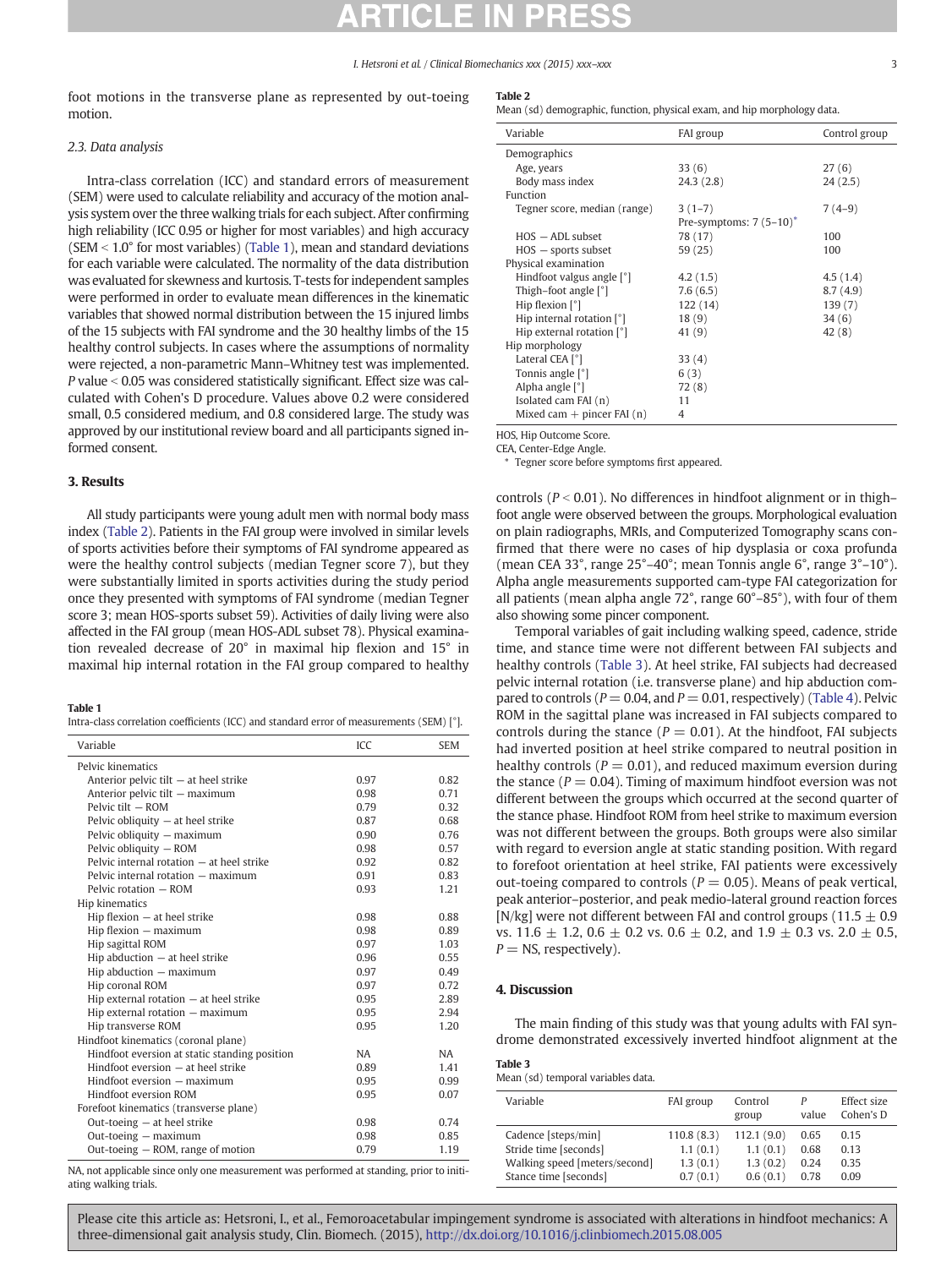#### I. Hetsroni et al. / Clinical Biomechanics xxx (2015) xxx–xxx 3

foot motions in the transverse plane as represented by out-toeing motion.

### 2.3. Data analysis

Intra-class correlation (ICC) and standard errors of measurement (SEM) were used to calculate reliability and accuracy of the motion analysis system over the three walking trials for each subject. After confirming high reliability (ICC 0.95 or higher for most variables) and high accuracy (SEM  $<$  1.0° for most variables) (Table 1), mean and standard deviations for each variable were calculated. The normality of the data distribution was evaluated for skewness and kurtosis. T-tests for independent samples were performed in order to evaluate mean differences in the kinematic variables that showed normal distribution between the 15 injured limbs of the 15 subjects with FAI syndrome and the 30 healthy limbs of the 15 healthy control subjects. In cases where the assumptions of normality were rejected, a non-parametric Mann–Whitney test was implemented.  $P$  value  $< 0.05$  was considered statistically significant. Effect size was calculated with Cohen's D procedure. Values above 0.2 were considered small, 0.5 considered medium, and 0.8 considered large. The study was approved by our institutional review board and all participants signed informed consent.

### 3. Results

All study participants were young adult men with normal body mass index (Table 2). Patients in the FAI group were involved in similar levels of sports activities before their symptoms of FAI syndrome appeared as were the healthy control subjects (median Tegner score 7), but they were substantially limited in sports activities during the study period once they presented with symptoms of FAI syndrome (median Tegner score 3; mean HOS-sports subset 59). Activities of daily living were also affected in the FAI group (mean HOS-ADL subset 78). Physical examination revealed decrease of 20° in maximal hip flexion and 15° in maximal hip internal rotation in the FAI group compared to healthy

#### Table 1

| Intra-class correlation coefficients (ICC) and standard error of measurements (SEM) [ $^{\circ}$ ]. |  |  |  |  |  |  |
|-----------------------------------------------------------------------------------------------------|--|--|--|--|--|--|
|-----------------------------------------------------------------------------------------------------|--|--|--|--|--|--|

| Variable                                      | ICC       | <b>SEM</b> |
|-----------------------------------------------|-----------|------------|
| Pelvic kinematics                             |           |            |
| Anterior pelvic tilt $-$ at heel strike       | 0.97      | 0.82       |
| Anterior pelvic tilt – maximum                | 0.98      | 0.71       |
| Pelvic tilt - ROM                             | 0.79      | 0.32       |
| Pelvic obliquity $-$ at heel strike           | 0.87      | 0.68       |
| Pelvic obliquity - maximum                    | 0.90      | 0.76       |
| Pelvic obliquity - ROM                        | 0.98      | 0.57       |
| Pelvic internal rotation - at heel strike     | 0.92      | 0.82       |
| Pelvic internal rotation – maximum            | 0.91      | 0.83       |
| Pelvic rotation - ROM                         | 0.93      | 1.21       |
| Hip kinematics                                |           |            |
| $H$ ip flexion $-$ at heel strike             | 0.98      | 0.88       |
| $Hip$ flexion $-$ maximum                     | 0.98      | 0.89       |
| Hip sagittal ROM                              | 0.97      | 1.03       |
| Hip abduction - at heel strike                | 0.96      | 0.55       |
| Hip abduction - maximum                       | 0.97      | 0.49       |
| Hip coronal ROM                               | 0.97      | 0.72       |
| Hip external rotation $-$ at heel strike      | 0.95      | 2.89       |
| Hip external rotation - maximum               | 0.95      | 2.94       |
| Hip transverse ROM                            | 0.95      | 1.20       |
| Hindfoot kinematics (coronal plane)           |           |            |
| Hindfoot eversion at static standing position | <b>NA</b> | <b>NA</b>  |
| Hindfoot eversion - at heel strike            | 0.89      | 1.41       |
| Hindfoot eversion – maximum                   | 0.95      | 0.99       |
| Hindfoot eversion ROM                         | 0.95      | 0.07       |
| Forefoot kinematics (transverse plane)        |           |            |
| Out-toeing $-$ at heel strike                 | 0.98      | 0.74       |
| Out-toeing – maximum                          | 0.98      | 0.85       |
| Out-toeing – ROM, range of motion             | 0.79      | 1.19       |

NA, not applicable since only one measurement was performed at standing, prior to initiating walking trials.

Mean (sd) demographic, function, physical exam, and hip morphology data.

| Variable                     | FAI group                 | Control group |
|------------------------------|---------------------------|---------------|
| Demographics                 |                           |               |
| Age, years                   | 33(6)                     | 27(6)         |
| Body mass index              | 24.3(2.8)                 | 24(2.5)       |
| Function                     |                           |               |
| Tegner score, median (range) | $3(1-7)$                  | $7(4-9)$      |
|                              | Pre-symptoms: $7(5-10)^*$ |               |
| $HOS - ADL$ subset           | 78 (17)                   | 100           |
| $HOS$ – sports subset        | 59(25)                    | 100           |
| Physical examination         |                           |               |
| Hindfoot valgus angle [°]    | 4.2(1.5)                  | 4.5(1.4)      |
| Thigh-foot angle [°]         | 7.6(6.5)                  | 8.7(4.9)      |
| Hip flexion $[°]$            | 122 (14)                  | 139(7)        |
| Hip internal rotation $[°]$  | 18(9)                     | 34(6)         |
| Hip external rotation [°]    | 41 (9)                    | 42(8)         |
| Hip morphology               |                           |               |
| Lateral CEA [°]              | 33(4)                     |               |
| Tonnis angle [°]             | 6(3)                      |               |
| Alpha angle [°]              | 72(8)                     |               |
| Isolated cam FAI (n)         | 11                        |               |
| Mixed cam $+$ pincer FAI (n) | 4                         |               |

HOS, Hip Outcome Score.

CEA, Center-Edge Angle.

⁎ Tegner score before symptoms first appeared.

controls ( $P < 0.01$ ). No differences in hindfoot alignment or in thigh– foot angle were observed between the groups. Morphological evaluation on plain radiographs, MRIs, and Computerized Tomography scans confirmed that there were no cases of hip dysplasia or coxa profunda (mean CEA 33°, range 25°–40°; mean Tonnis angle 6°, range 3°–10°). Alpha angle measurements supported cam-type FAI categorization for all patients (mean alpha angle 72°, range 60°–85°), with four of them also showing some pincer component.

Temporal variables of gait including walking speed, cadence, stride time, and stance time were not different between FAI subjects and healthy controls (Table 3). At heel strike, FAI subjects had decreased pelvic internal rotation (i.e. transverse plane) and hip abduction compared to controls ( $P = 0.04$ , and  $P = 0.01$ , respectively) ([Table 4\)](#page-3-0). Pelvic ROM in the sagittal plane was increased in FAI subjects compared to controls during the stance ( $P = 0.01$ ). At the hindfoot, FAI subjects had inverted position at heel strike compared to neutral position in healthy controls ( $P = 0.01$ ), and reduced maximum eversion during the stance ( $P = 0.04$ ). Timing of maximum hindfoot eversion was not different between the groups which occurred at the second quarter of the stance phase. Hindfoot ROM from heel strike to maximum eversion was not different between the groups. Both groups were also similar with regard to eversion angle at static standing position. With regard to forefoot orientation at heel strike, FAI patients were excessively out-toeing compared to controls ( $P = 0.05$ ). Means of peak vertical, peak anterior–posterior, and peak medio-lateral ground reaction forces [N/kg] were not different between FAI and control groups (11.5  $\pm$  0.9 vs.  $11.6 \pm 1.2$ ,  $0.6 \pm 0.2$  vs.  $0.6 \pm 0.2$ , and  $1.9 \pm 0.3$  vs.  $2.0 \pm 0.5$ ,  $P = NS$ , respectively).

# 4. Discussion

The main finding of this study was that young adults with FAI syndrome demonstrated excessively inverted hindfoot alignment at the

Table 3

|  |  |  | Mean (sd) temporal variables data. |
|--|--|--|------------------------------------|
|--|--|--|------------------------------------|

| Variable                      | FAI group  | Control<br>group | value | Effect size<br>Cohen's D |
|-------------------------------|------------|------------------|-------|--------------------------|
| Cadence [steps/min]           | 110.8(8.3) | 112.1(9.0)       | 0.65  | 0.15                     |
| Stride time [seconds]         | 1.1(0.1)   | 1.1(0.1)         | 0.68  | 0.13                     |
| Walking speed [meters/second] | 1.3(0.1)   | 1.3(0.2)         | 0.24  | 0.35                     |
| Stance time [seconds]         | 0.7(0.1)   | 0.6(0.1)         | 0.78  | 0.09                     |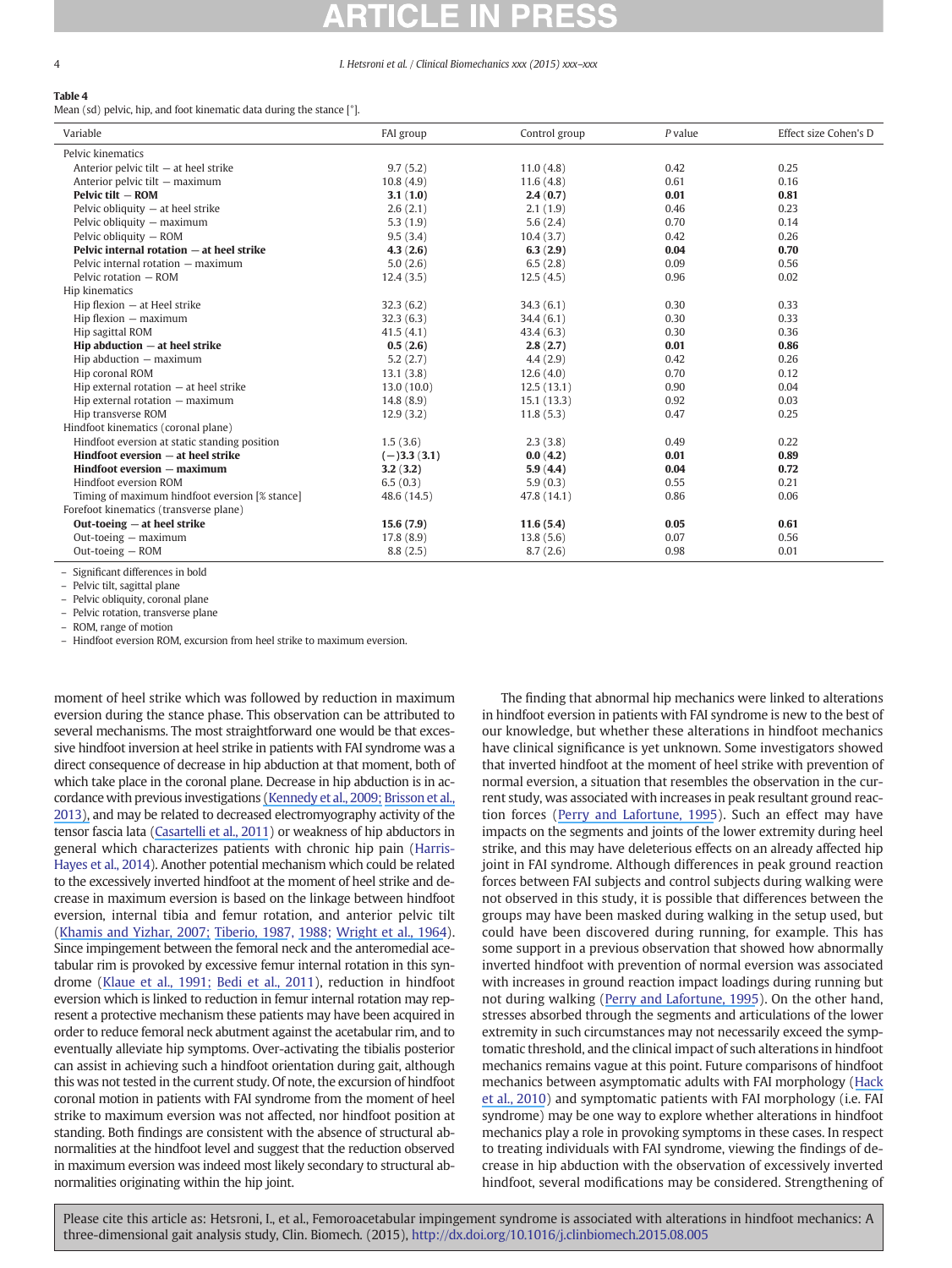## <span id="page-3-0"></span>4 I. Hetsroni et al. / Clinical Biomechanics xxx (2015) xxx–xxx

# Table 4

Mean (sd) pelvic, hip, and foot kinematic data during the stance [°].

| Variable                                       | FAI group     | Control group | $P$ value | Effect size Cohen's D |
|------------------------------------------------|---------------|---------------|-----------|-----------------------|
| Pelvic kinematics                              |               |               |           |                       |
| Anterior pelvic tilt – at heel strike          | 9.7(5.2)      | 11.0(4.8)     | 0.42      | 0.25                  |
| Anterior pelvic tilt - maximum                 | 10.8(4.9)     | 11.6(4.8)     | 0.61      | 0.16                  |
| Pelvic tilt - ROM                              | 3.1(1.0)      | 2.4(0.7)      | 0.01      | 0.81                  |
| Pelvic obliquity $-$ at heel strike            | 2.6(2.1)      | 2.1(1.9)      | 0.46      | 0.23                  |
| Pelvic obliquity - maximum                     | 5.3(1.9)      | 5.6(2.4)      | 0.70      | 0.14                  |
| Pelvic obliquity - ROM                         | 9.5(3.4)      | 10.4(3.7)     | 0.42      | 0.26                  |
| Pelvic internal rotation - at heel strike      | 4.3(2.6)      | 6.3(2.9)      | 0.04      | 0.70                  |
| Pelvic internal rotation – maximum             | 5.0(2.6)      | 6.5(2.8)      | 0.09      | 0.56                  |
| Pelvic rotation - ROM                          | 12.4(3.5)     | 12.5(4.5)     | 0.96      | 0.02                  |
| Hip kinematics                                 |               |               |           |                       |
| $Hip$ flexion $-$ at Heel strike               | 32.3(6.2)     | 34.3(6.1)     | 0.30      | 0.33                  |
| $Hip$ flexion $-$ maximum                      | 32.3(6.3)     | 34.4(6.1)     | 0.30      | 0.33                  |
| Hip sagittal ROM                               | 41.5(4.1)     | 43.4(6.3)     | 0.30      | 0.36                  |
| $H$ ip abduction $-$ at heel strike            | 0.5(2.6)      | 2.8(2.7)      | 0.01      | 0.86                  |
| Hip abduction - maximum                        | 5.2(2.7)      | 4.4(2.9)      | 0.42      | 0.26                  |
| Hip coronal ROM                                | 13.1(3.8)     | 12.6(4.0)     | 0.70      | 0.12                  |
| Hip external rotation $-$ at heel strike       | 13.0(10.0)    | 12.5(13.1)    | 0.90      | 0.04                  |
| Hip external rotation - maximum                | 14.8(8.9)     | 15.1(13.3)    | 0.92      | 0.03                  |
| Hip transverse ROM                             | 12.9(3.2)     | 11.8(5.3)     | 0.47      | 0.25                  |
| Hindfoot kinematics (coronal plane)            |               |               |           |                       |
| Hindfoot eversion at static standing position  | 1.5(3.6)      | 2.3(3.8)      | 0.49      | 0.22                  |
| Hindfoot eversion - at heel strike             | $(-)3.3(3.1)$ | 0.0(4.2)      | 0.01      | 0.89                  |
| Hindfoot eversion – maximum                    | 3.2(3.2)      | 5.9(4.4)      | 0.04      | 0.72                  |
| Hindfoot eversion ROM                          | 6.5(0.3)      | 5.9(0.3)      | 0.55      | 0.21                  |
| Timing of maximum hindfoot eversion [% stance] | 48.6 (14.5)   | 47.8 (14.1)   | 0.86      | 0.06                  |
| Forefoot kinematics (transverse plane)         |               |               |           |                       |
| Out-toeing $-$ at heel strike                  | 15.6(7.9)     | 11.6(5.4)     | 0.05      | 0.61                  |
| Out-toeing - maximum                           | 17.8(8.9)     | 13.8(5.6)     | 0.07      | 0.56                  |
| $Out-toeing - ROM$                             | 8.8(2.5)      | 8.7(2.6)      | 0.98      | 0.01                  |

– Significant differences in bold

– Pelvic tilt, sagittal plane

– Pelvic obliquity, coronal plane

– Pelvic rotation, transverse plane

– ROM, range of motion

– Hindfoot eversion ROM, excursion from heel strike to maximum eversion.

moment of heel strike which was followed by reduction in maximum eversion during the stance phase. This observation can be attributed to several mechanisms. The most straightforward one would be that excessive hindfoot inversion at heel strike in patients with FAI syndrome was a direct consequence of decrease in hip abduction at that moment, both of which take place in the coronal plane. Decrease in hip abduction is in accordance with previous investigations [\(](https://www.researchgate.net/publication/230781678_The_effects_of_cam_femoroacetabular_impingement_corrective_surgery_on_lower-extremity_gait_biomechanics?el=1_x_8&enrichId=rgreq-8aef6af881a80de9ebf7d3a7dcbb2807-XXX&enrichSource=Y292ZXJQYWdlOzI4MTU0MDE0NztBUzoyNzQwMjM0NDM1OTUyNjRAMTQ0MjM0MzY4ODYzMQ==)[Kennedy et al., 2009; Brisson et al.,](#page-4-0) [201](#page-4-0)[3\),](https://www.researchgate.net/publication/230781678_The_effects_of_cam_femoroacetabular_impingement_corrective_surgery_on_lower-extremity_gait_biomechanics?el=1_x_8&enrichId=rgreq-8aef6af881a80de9ebf7d3a7dcbb2807-XXX&enrichSource=Y292ZXJQYWdlOzI4MTU0MDE0NztBUzoyNzQwMjM0NDM1OTUyNjRAMTQ0MjM0MzY4ODYzMQ==) and may be related to decreased electromyography activity of the tensor fascia lata [\(Casartelli et al., 2011](#page-4-0)) or weakness of hip abductors in general which characterizes patients with chronic hip pain ([Harris-](#page-4-0)[Hayes et al., 2014\)](#page-4-0). Another potential mechanism which could be related to the excessively inverted hindfoot at the moment of heel strike and decrease in maximum eversion is based on the linkage between hindfoot eversion, internal tibia and femur rotation, and anterior pelvic tilt [\(K](#page-4-0)[hamis](https://www.researchgate.net/publication/7157907_Effect_of_feet_hyperpronation_on_pelvic_alignment_in_a_standing_position?el=1_x_8&enrichId=rgreq-8aef6af881a80de9ebf7d3a7dcbb2807-XXX&enrichSource=Y292ZXJQYWdlOzI4MTU0MDE0NztBUzoyNzQwMjM0NDM1OTUyNjRAMTQ0MjM0MzY4ODYzMQ==)[and](https://www.researchgate.net/publication/7157907_Effect_of_feet_hyperpronation_on_pelvic_alignment_in_a_standing_position?el=1_x_8&enrichId=rgreq-8aef6af881a80de9ebf7d3a7dcbb2807-XXX&enrichSource=Y292ZXJQYWdlOzI4MTU0MDE0NztBUzoyNzQwMjM0NDM1OTUyNjRAMTQ0MjM0MzY4ODYzMQ==)[Yizhar,](https://www.researchgate.net/publication/7157907_Effect_of_feet_hyperpronation_on_pelvic_alignment_in_a_standing_position?el=1_x_8&enrichId=rgreq-8aef6af881a80de9ebf7d3a7dcbb2807-XXX&enrichSource=Y292ZXJQYWdlOzI4MTU0MDE0NztBUzoyNzQwMjM0NDM1OTUyNjRAMTQ0MjM0MzY4ODYzMQ==)[2007;](https://www.researchgate.net/publication/7157907_Effect_of_feet_hyperpronation_on_pelvic_alignment_in_a_standing_position?el=1_x_8&enrichId=rgreq-8aef6af881a80de9ebf7d3a7dcbb2807-XXX&enrichSource=Y292ZXJQYWdlOzI4MTU0MDE0NztBUzoyNzQwMjM0NDM1OTUyNjRAMTQ0MjM0MzY4ODYzMQ==)[Tiberio,](https://www.researchgate.net/publication/23262743_The_Effect_of_Excessive_Subtalar_Joint_Pronation_on_Patellofemoral_Mechanics_A_Theoretical_Model?el=1_x_8&enrichId=rgreq-8aef6af881a80de9ebf7d3a7dcbb2807-XXX&enrichSource=Y292ZXJQYWdlOzI4MTU0MDE0NztBUzoyNzQwMjM0NDM1OTUyNjRAMTQ0MjM0MzY4ODYzMQ==)[198](https://www.researchgate.net/publication/23262743_The_Effect_of_Excessive_Subtalar_Joint_Pronation_on_Patellofemoral_Mechanics_A_Theoretical_Model?el=1_x_8&enrichId=rgreq-8aef6af881a80de9ebf7d3a7dcbb2807-XXX&enrichSource=Y292ZXJQYWdlOzI4MTU0MDE0NztBUzoyNzQwMjM0NDM1OTUyNjRAMTQ0MjM0MzY4ODYzMQ==)[7,](#page-4-0) [198](https://www.researchgate.net/publication/19962747_Pathomechanics_of_structural_foot_deformities?el=1_x_8&enrichId=rgreq-8aef6af881a80de9ebf7d3a7dcbb2807-XXX&enrichSource=Y292ZXJQYWdlOzI4MTU0MDE0NztBUzoyNzQwMjM0NDM1OTUyNjRAMTQ0MjM0MzY4ODYzMQ==)[8;](#page-4-0) [Wright](https://www.researchgate.net/publication/9450115_Action_of_the_subtalar_and_ankle-joint_complex_during_the_stance_phase_of_walking?el=1_x_8&enrichId=rgreq-8aef6af881a80de9ebf7d3a7dcbb2807-XXX&enrichSource=Y292ZXJQYWdlOzI4MTU0MDE0NztBUzoyNzQwMjM0NDM1OTUyNjRAMTQ0MjM0MzY4ODYzMQ==)[et](https://www.researchgate.net/publication/9450115_Action_of_the_subtalar_and_ankle-joint_complex_during_the_stance_phase_of_walking?el=1_x_8&enrichId=rgreq-8aef6af881a80de9ebf7d3a7dcbb2807-XXX&enrichSource=Y292ZXJQYWdlOzI4MTU0MDE0NztBUzoyNzQwMjM0NDM1OTUyNjRAMTQ0MjM0MzY4ODYzMQ==)[al.,](https://www.researchgate.net/publication/9450115_Action_of_the_subtalar_and_ankle-joint_complex_during_the_stance_phase_of_walking?el=1_x_8&enrichId=rgreq-8aef6af881a80de9ebf7d3a7dcbb2807-XXX&enrichSource=Y292ZXJQYWdlOzI4MTU0MDE0NztBUzoyNzQwMjM0NDM1OTUyNjRAMTQ0MjM0MzY4ODYzMQ==)[196](https://www.researchgate.net/publication/9450115_Action_of_the_subtalar_and_ankle-joint_complex_during_the_stance_phase_of_walking?el=1_x_8&enrichId=rgreq-8aef6af881a80de9ebf7d3a7dcbb2807-XXX&enrichSource=Y292ZXJQYWdlOzI4MTU0MDE0NztBUzoyNzQwMjM0NDM1OTUyNjRAMTQ0MjM0MzY4ODYzMQ==)[4](#page-4-0)). Since impingement between the femoral neck and the anteromedial acetabular rim is provoked by excessive femur internal rotation in this syndrome [\(Klaue et al., 1991; Bedi et al., 2011\)](#page-4-0), reduction in hindfoot eversion which is linked to reduction in femur internal rotation may represent a protective mechanism these patients may have been acquired in order to reduce femoral neck abutment against the acetabular rim, and to eventually alleviate hip symptoms. Over-activating the tibialis posterior can assist in achieving such a hindfoot orientation during gait, although this was not tested in the current study. Of note, the excursion of hindfoot coronal motion in patients with FAI syndrome from the moment of heel strike to maximum eversion was not affected, nor hindfoot position at standing. Both findings are consistent with the absence of structural abnormalities at the hindfoot level and suggest that the reduction observed in maximum eversion was indeed most likely secondary to structural abnormalities originating within the hip joint.

The finding that abnormal hip mechanics were linked to alterations in hindfoot eversion in patients with FAI syndrome is new to the best of our knowledge, but whether these alterations in hindfoot mechanics have clinical significance is yet unknown. Some investigators showed that inverted hindfoot at the moment of heel strike with prevention of normal eversion, a situation that resembles the observation in the current study, was associated with increases in peak resultant ground reaction forces [\(Perry and Lafortune, 1995](#page-4-0)). Such an effect may have impacts on the segments and joints of the lower extremity during heel strike, and this may have deleterious effects on an already affected hip joint in FAI syndrome. Although differences in peak ground reaction forces between FAI subjects and control subjects during walking were not observed in this study, it is possible that differences between the groups may have been masked during walking in the setup used, but could have been discovered during running, for example. This has some support in a previous observation that showed how abnormally inverted hindfoot with prevention of normal eversion was associated with increases in ground reaction impact loadings during running but not during walking ([Perry and Lafortune, 1995\)](#page-4-0). On the other hand, stresses absorbed through the segments and articulations of the lower extremity in such circumstances may not necessarily exceed the symptomatic threshold, and the clinical impact of such alterations in hindfoot mechanics remains vague at this point. Future comparisons of hindfoot mechanics between asymptomatic adults with FAI morphology ([H](#page-4-0)[ack](https://www.researchgate.net/publication/47509913_Prevalence_of_Cam-Type_Femoroacetabular_Impingement_Morphology_in_Asymptomatic_Volunteers?el=1_x_8&enrichId=rgreq-8aef6af881a80de9ebf7d3a7dcbb2807-XXX&enrichSource=Y292ZXJQYWdlOzI4MTU0MDE0NztBUzoyNzQwMjM0NDM1OTUyNjRAMTQ0MjM0MzY4ODYzMQ==) [et al., 2010\)](#page-4-0) and symptomatic patients with FAI morphology (i.e. FAI syndrome) may be one way to explore whether alterations in hindfoot mechanics play a role in provoking symptoms in these cases. In respect to treating individuals with FAI syndrome, viewing the findings of decrease in hip abduction with the observation of excessively inverted hindfoot, several modifications may be considered. Strengthening of